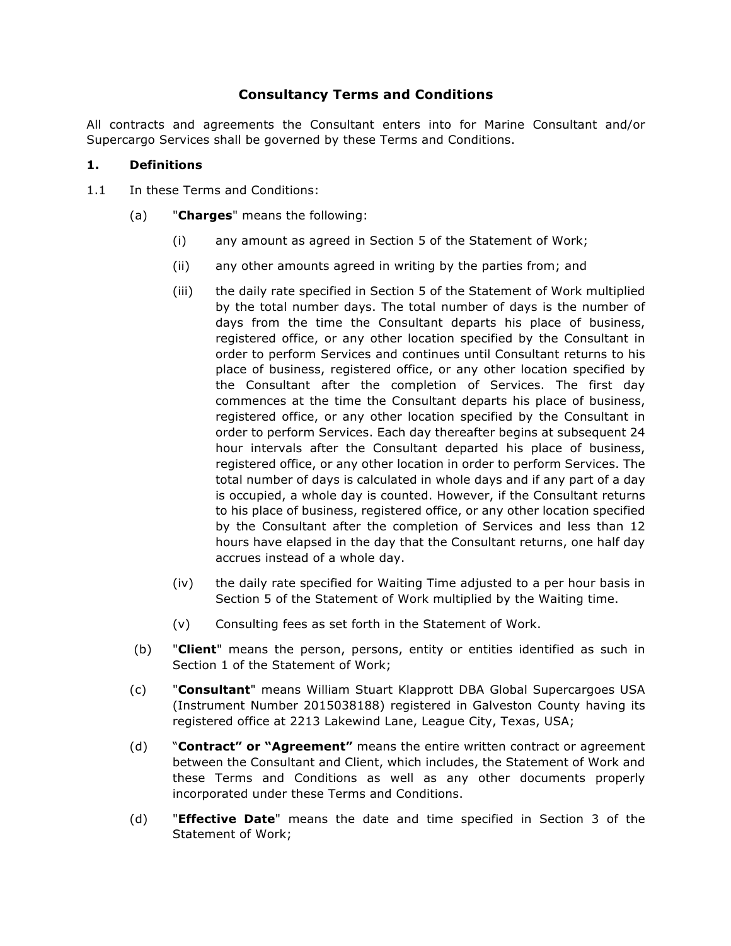# **Consultancy Terms and Conditions**

All contracts and agreements the Consultant enters into for Marine Consultant and/or Supercargo Services shall be governed by these Terms and Conditions.

#### **1. Definitions**

- 1.1 In these Terms and Conditions:
	- (a) "**Charges**" means the following:
		- (i) any amount as agreed in Section 5 of the Statement of Work;
		- (ii) any other amounts agreed in writing by the parties from; and
		- (iii) the daily rate specified in Section 5 of the Statement of Work multiplied by the total number days. The total number of days is the number of days from the time the Consultant departs his place of business, registered office, or any other location specified by the Consultant in order to perform Services and continues until Consultant returns to his place of business, registered office, or any other location specified by the Consultant after the completion of Services. The first day commences at the time the Consultant departs his place of business, registered office, or any other location specified by the Consultant in order to perform Services. Each day thereafter begins at subsequent 24 hour intervals after the Consultant departed his place of business, registered office, or any other location in order to perform Services. The total number of days is calculated in whole days and if any part of a day is occupied, a whole day is counted. However, if the Consultant returns to his place of business, registered office, or any other location specified by the Consultant after the completion of Services and less than 12 hours have elapsed in the day that the Consultant returns, one half day accrues instead of a whole day.
		- (iv) the daily rate specified for Waiting Time adjusted to a per hour basis in Section 5 of the Statement of Work multiplied by the Waiting time.
		- (v) Consulting fees as set forth in the Statement of Work.
	- (b) "**Client**" means the person, persons, entity or entities identified as such in Section 1 of the Statement of Work;
	- (c) "**Consultant**" means William Stuart Klapprott DBA Global Supercargoes USA (Instrument Number 2015038188) registered in Galveston County having its registered office at 2213 Lakewind Lane, League City, Texas, USA;
	- (d) "**Contract" or "Agreement"** means the entire written contract or agreement between the Consultant and Client, which includes, the Statement of Work and these Terms and Conditions as well as any other documents properly incorporated under these Terms and Conditions.
	- (d) "**Effective Date**" means the date and time specified in Section 3 of the Statement of Work;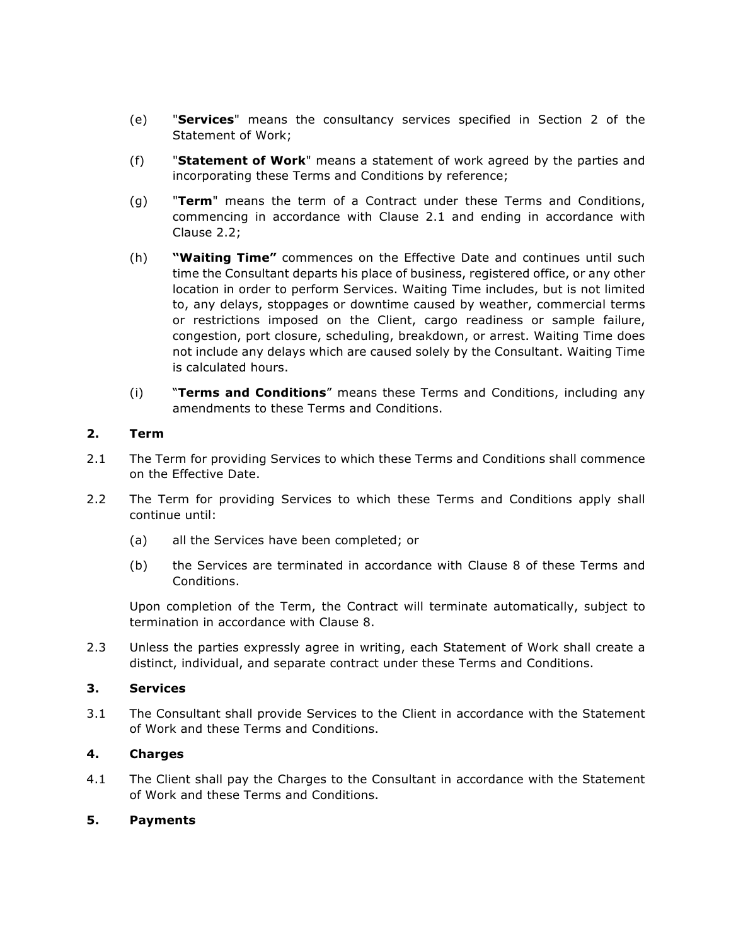- (e) "**Services**" means the consultancy services specified in Section 2 of the Statement of Work;
- (f) "**Statement of Work**" means a statement of work agreed by the parties and incorporating these Terms and Conditions by reference;
- (g) "**Term**" means the term of a Contract under these Terms and Conditions, commencing in accordance with Clause 2.1 and ending in accordance with Clause 2.2;
- (h) **"Waiting Time"** commences on the Effective Date and continues until such time the Consultant departs his place of business, registered office, or any other location in order to perform Services. Waiting Time includes, but is not limited to, any delays, stoppages or downtime caused by weather, commercial terms or restrictions imposed on the Client, cargo readiness or sample failure, congestion, port closure, scheduling, breakdown, or arrest. Waiting Time does not include any delays which are caused solely by the Consultant. Waiting Time is calculated hours.
- (i) "**Terms and Conditions**" means these Terms and Conditions, including any amendments to these Terms and Conditions.

#### **2. Term**

- 2.1 The Term for providing Services to which these Terms and Conditions shall commence on the Effective Date.
- 2.2 The Term for providing Services to which these Terms and Conditions apply shall continue until:
	- (a) all the Services have been completed; or
	- (b) the Services are terminated in accordance with Clause 8 of these Terms and Conditions.

Upon completion of the Term, the Contract will terminate automatically, subject to termination in accordance with Clause 8.

2.3 Unless the parties expressly agree in writing, each Statement of Work shall create a distinct, individual, and separate contract under these Terms and Conditions.

#### **3. Services**

3.1 The Consultant shall provide Services to the Client in accordance with the Statement of Work and these Terms and Conditions.

#### **4. Charges**

4.1 The Client shall pay the Charges to the Consultant in accordance with the Statement of Work and these Terms and Conditions.

#### **5. Payments**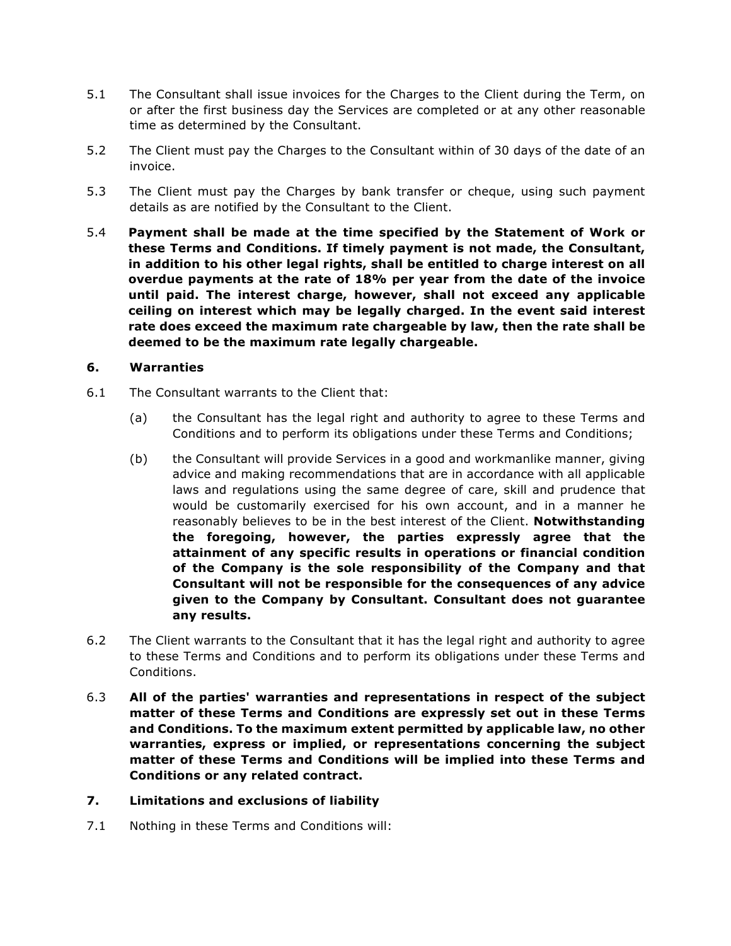- 5.1 The Consultant shall issue invoices for the Charges to the Client during the Term, on or after the first business day the Services are completed or at any other reasonable time as determined by the Consultant.
- 5.2 The Client must pay the Charges to the Consultant within of 30 days of the date of an invoice.
- 5.3 The Client must pay the Charges by bank transfer or cheque, using such payment details as are notified by the Consultant to the Client.
- 5.4 **Payment shall be made at the time specified by the Statement of Work or these Terms and Conditions. If timely payment is not made, the Consultant, in addition to his other legal rights, shall be entitled to charge interest on all overdue payments at the rate of 18% per year from the date of the invoice until paid. The interest charge, however, shall not exceed any applicable ceiling on interest which may be legally charged. In the event said interest rate does exceed the maximum rate chargeable by law, then the rate shall be deemed to be the maximum rate legally chargeable.**

## **6. Warranties**

- 6.1 The Consultant warrants to the Client that:
	- (a) the Consultant has the legal right and authority to agree to these Terms and Conditions and to perform its obligations under these Terms and Conditions;
	- (b) the Consultant will provide Services in a good and workmanlike manner, giving advice and making recommendations that are in accordance with all applicable laws and regulations using the same degree of care, skill and prudence that would be customarily exercised for his own account, and in a manner he reasonably believes to be in the best interest of the Client. **Notwithstanding the foregoing, however, the parties expressly agree that the attainment of any specific results in operations or financial condition of the Company is the sole responsibility of the Company and that Consultant will not be responsible for the consequences of any advice given to the Company by Consultant. Consultant does not guarantee any results.**
- 6.2 The Client warrants to the Consultant that it has the legal right and authority to agree to these Terms and Conditions and to perform its obligations under these Terms and Conditions.
- 6.3 **All of the parties' warranties and representations in respect of the subject matter of these Terms and Conditions are expressly set out in these Terms and Conditions. To the maximum extent permitted by applicable law, no other warranties, express or implied, or representations concerning the subject matter of these Terms and Conditions will be implied into these Terms and Conditions or any related contract.**
- **7. Limitations and exclusions of liability**
- 7.1 Nothing in these Terms and Conditions will: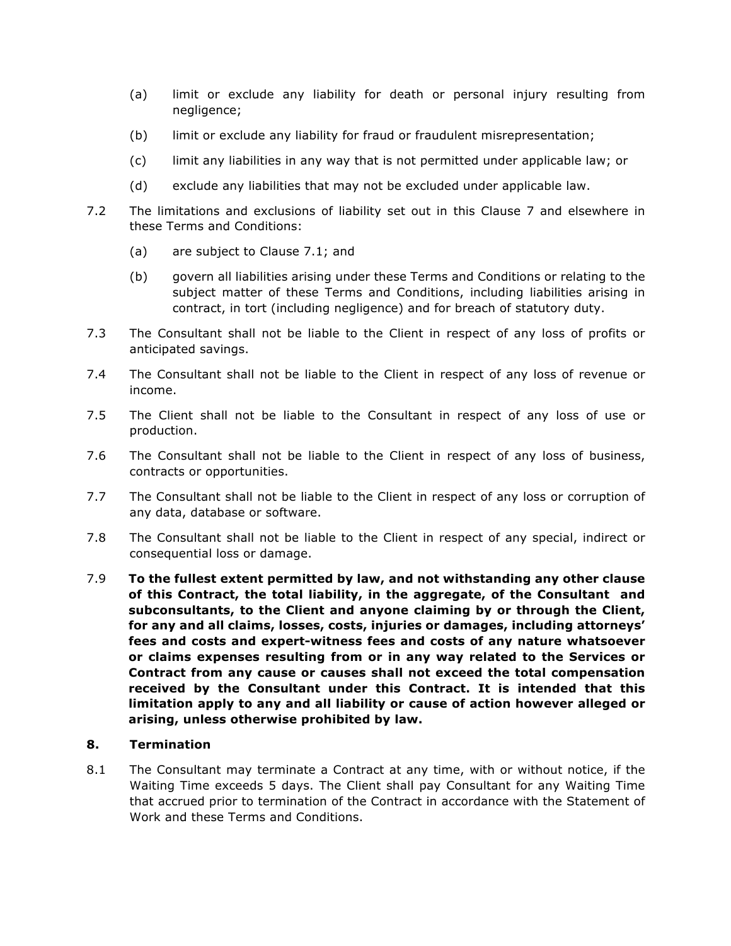- (a) limit or exclude any liability for death or personal injury resulting from negligence;
- (b) limit or exclude any liability for fraud or fraudulent misrepresentation;
- (c) limit any liabilities in any way that is not permitted under applicable law; or
- (d) exclude any liabilities that may not be excluded under applicable law.
- 7.2 The limitations and exclusions of liability set out in this Clause 7 and elsewhere in these Terms and Conditions:
	- (a) are subject to Clause 7.1; and
	- (b) govern all liabilities arising under these Terms and Conditions or relating to the subject matter of these Terms and Conditions, including liabilities arising in contract, in tort (including negligence) and for breach of statutory duty.
- 7.3 The Consultant shall not be liable to the Client in respect of any loss of profits or anticipated savings.
- 7.4 The Consultant shall not be liable to the Client in respect of any loss of revenue or income.
- 7.5 The Client shall not be liable to the Consultant in respect of any loss of use or production.
- 7.6 The Consultant shall not be liable to the Client in respect of any loss of business, contracts or opportunities.
- 7.7 The Consultant shall not be liable to the Client in respect of any loss or corruption of any data, database or software.
- 7.8 The Consultant shall not be liable to the Client in respect of any special, indirect or consequential loss or damage.
- 7.9 **To the fullest extent permitted by law, and not withstanding any other clause of this Contract, the total liability, in the aggregate, of the Consultant and subconsultants, to the Client and anyone claiming by or through the Client, for any and all claims, losses, costs, injuries or damages, including attorneys' fees and costs and expert-witness fees and costs of any nature whatsoever or claims expenses resulting from or in any way related to the Services or Contract from any cause or causes shall not exceed the total compensation received by the Consultant under this Contract. It is intended that this limitation apply to any and all liability or cause of action however alleged or arising, unless otherwise prohibited by law.**

#### **8. Termination**

8.1 The Consultant may terminate a Contract at any time, with or without notice, if the Waiting Time exceeds 5 days. The Client shall pay Consultant for any Waiting Time that accrued prior to termination of the Contract in accordance with the Statement of Work and these Terms and Conditions.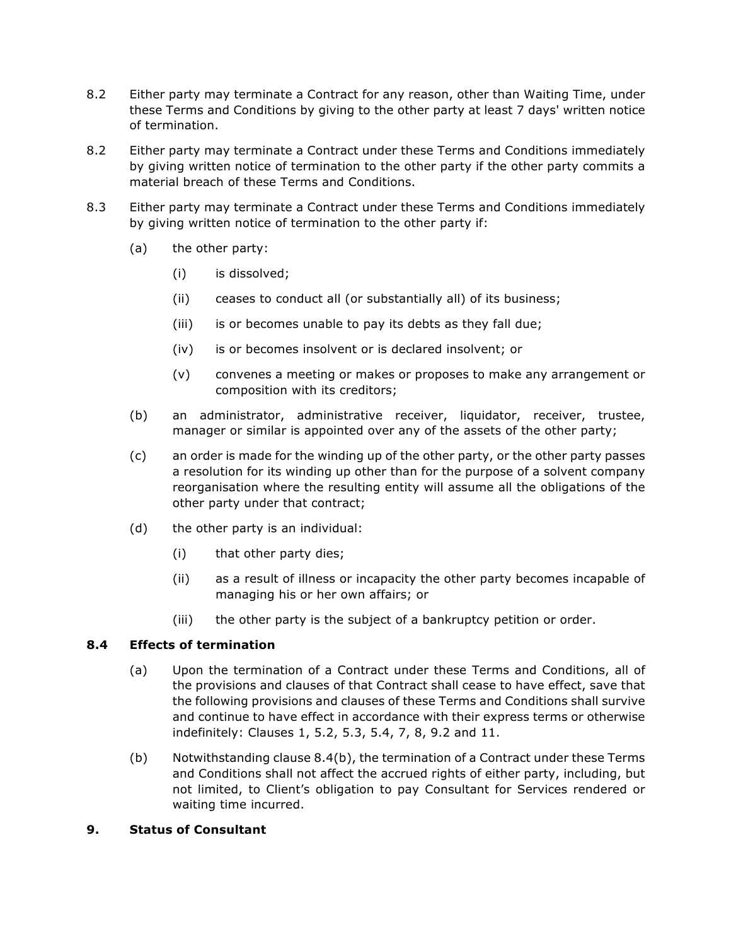- 8.2 Either party may terminate a Contract for any reason, other than Waiting Time, under these Terms and Conditions by giving to the other party at least 7 days' written notice of termination.
- 8.2 Either party may terminate a Contract under these Terms and Conditions immediately by giving written notice of termination to the other party if the other party commits a material breach of these Terms and Conditions.
- 8.3 Either party may terminate a Contract under these Terms and Conditions immediately by giving written notice of termination to the other party if:
	- (a) the other party:
		- (i) is dissolved;
		- (ii) ceases to conduct all (or substantially all) of its business;
		- (iii) is or becomes unable to pay its debts as they fall due;
		- (iv) is or becomes insolvent or is declared insolvent; or
		- (v) convenes a meeting or makes or proposes to make any arrangement or composition with its creditors;
	- (b) an administrator, administrative receiver, liquidator, receiver, trustee, manager or similar is appointed over any of the assets of the other party;
	- (c) an order is made for the winding up of the other party, or the other party passes a resolution for its winding up other than for the purpose of a solvent company reorganisation where the resulting entity will assume all the obligations of the other party under that contract;
	- (d) the other party is an individual:
		- (i) that other party dies;
		- (ii) as a result of illness or incapacity the other party becomes incapable of managing his or her own affairs; or
		- (iii) the other party is the subject of a bankruptcy petition or order.

## **8.4 Effects of termination**

- (a) Upon the termination of a Contract under these Terms and Conditions, all of the provisions and clauses of that Contract shall cease to have effect, save that the following provisions and clauses of these Terms and Conditions shall survive and continue to have effect in accordance with their express terms or otherwise indefinitely: Clauses 1, 5.2, 5.3, 5.4, 7, 8, 9.2 and 11.
- (b) Notwithstanding clause 8.4(b), the termination of a Contract under these Terms and Conditions shall not affect the accrued rights of either party, including, but not limited, to Client's obligation to pay Consultant for Services rendered or waiting time incurred.

#### **9. Status of Consultant**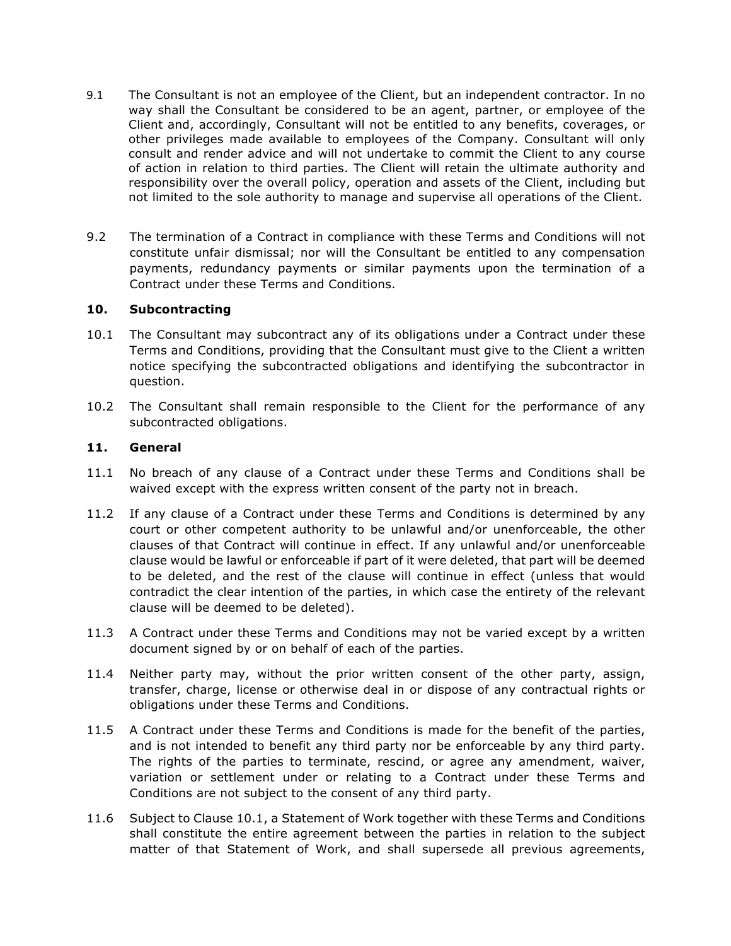- 9.1 The Consultant is not an employee of the Client, but an independent contractor. In no way shall the Consultant be considered to be an agent, partner, or employee of the Client and, accordingly, Consultant will not be entitled to any benefits, coverages, or other privileges made available to employees of the Company. Consultant will only consult and render advice and will not undertake to commit the Client to any course of action in relation to third parties. The Client will retain the ultimate authority and responsibility over the overall policy, operation and assets of the Client, including but not limited to the sole authority to manage and supervise all operations of the Client.
- 9.2 The termination of a Contract in compliance with these Terms and Conditions will not constitute unfair dismissal; nor will the Consultant be entitled to any compensation payments, redundancy payments or similar payments upon the termination of a Contract under these Terms and Conditions.

#### **10. Subcontracting**

- 10.1 The Consultant may subcontract any of its obligations under a Contract under these Terms and Conditions, providing that the Consultant must give to the Client a written notice specifying the subcontracted obligations and identifying the subcontractor in question.
- 10.2 The Consultant shall remain responsible to the Client for the performance of any subcontracted obligations.

# **11. General**

- 11.1 No breach of any clause of a Contract under these Terms and Conditions shall be waived except with the express written consent of the party not in breach.
- 11.2 If any clause of a Contract under these Terms and Conditions is determined by any court or other competent authority to be unlawful and/or unenforceable, the other clauses of that Contract will continue in effect. If any unlawful and/or unenforceable clause would be lawful or enforceable if part of it were deleted, that part will be deemed to be deleted, and the rest of the clause will continue in effect (unless that would contradict the clear intention of the parties, in which case the entirety of the relevant clause will be deemed to be deleted).
- 11.3 A Contract under these Terms and Conditions may not be varied except by a written document signed by or on behalf of each of the parties.
- 11.4 Neither party may, without the prior written consent of the other party, assign, transfer, charge, license or otherwise deal in or dispose of any contractual rights or obligations under these Terms and Conditions.
- 11.5 A Contract under these Terms and Conditions is made for the benefit of the parties, and is not intended to benefit any third party nor be enforceable by any third party. The rights of the parties to terminate, rescind, or agree any amendment, waiver, variation or settlement under or relating to a Contract under these Terms and Conditions are not subject to the consent of any third party.
- 11.6 Subject to Clause 10.1, a Statement of Work together with these Terms and Conditions shall constitute the entire agreement between the parties in relation to the subject matter of that Statement of Work, and shall supersede all previous agreements,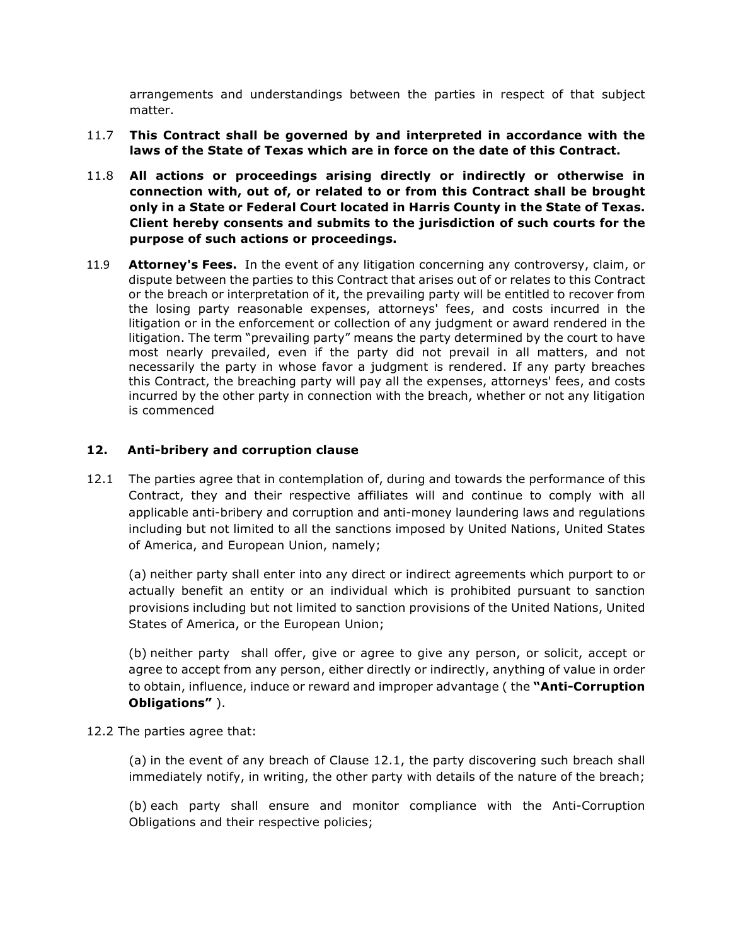arrangements and understandings between the parties in respect of that subject matter.

- 11.7 **This Contract shall be governed by and interpreted in accordance with the laws of the State of Texas which are in force on the date of this Contract.**
- 11.8 **All actions or proceedings arising directly or indirectly or otherwise in connection with, out of, or related to or from this Contract shall be brought only in a State or Federal Court located in Harris County in the State of Texas. Client hereby consents and submits to the jurisdiction of such courts for the purpose of such actions or proceedings.**
- 11.9 **Attorney's Fees.** In the event of any litigation concerning any controversy, claim, or dispute between the parties to this Contract that arises out of or relates to this Contract or the breach or interpretation of it, the prevailing party will be entitled to recover from the losing party reasonable expenses, attorneys' fees, and costs incurred in the litigation or in the enforcement or collection of any judgment or award rendered in the litigation. The term "prevailing party" means the party determined by the court to have most nearly prevailed, even if the party did not prevail in all matters, and not necessarily the party in whose favor a judgment is rendered. If any party breaches this Contract, the breaching party will pay all the expenses, attorneys' fees, and costs incurred by the other party in connection with the breach, whether or not any litigation is commenced

## **12. Anti-bribery and corruption clause**

12.1 The parties agree that in contemplation of, during and towards the performance of this Contract, they and their respective affiliates will and continue to comply with all applicable anti-bribery and corruption and anti-money laundering laws and regulations including but not limited to all the sanctions imposed by United Nations, United States of America, and European Union, namely;

(a) neither party shall enter into any direct or indirect agreements which purport to or actually benefit an entity or an individual which is prohibited pursuant to sanction provisions including but not limited to sanction provisions of the United Nations, United States of America, or the European Union;

(b) neither party shall offer, give or agree to give any person, or solicit, accept or agree to accept from any person, either directly or indirectly, anything of value in order to obtain, influence, induce or reward and improper advantage ( the **"Anti-Corruption Obligations"** ).

12.2 The parties agree that:

(a) in the event of any breach of Clause 12.1, the party discovering such breach shall immediately notify, in writing, the other party with details of the nature of the breach;

(b) each party shall ensure and monitor compliance with the Anti-Corruption Obligations and their respective policies;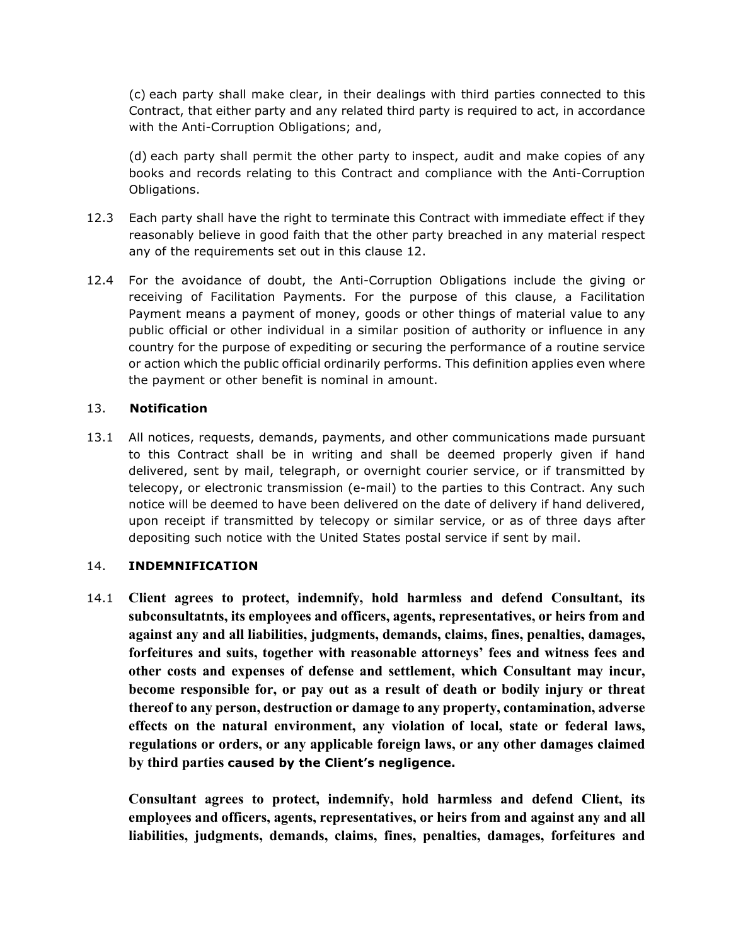(c) each party shall make clear, in their dealings with third parties connected to this Contract, that either party and any related third party is required to act, in accordance with the Anti-Corruption Obligations; and,

(d) each party shall permit the other party to inspect, audit and make copies of any books and records relating to this Contract and compliance with the Anti-Corruption Obligations.

- 12.3 Each party shall have the right to terminate this Contract with immediate effect if they reasonably believe in good faith that the other party breached in any material respect any of the requirements set out in this clause 12.
- 12.4 For the avoidance of doubt, the Anti-Corruption Obligations include the giving or receiving of Facilitation Payments. For the purpose of this clause, a Facilitation Payment means a payment of money, goods or other things of material value to any public official or other individual in a similar position of authority or influence in any country for the purpose of expediting or securing the performance of a routine service or action which the public official ordinarily performs. This definition applies even where the payment or other benefit is nominal in amount.

## 13. **Notification**

13.1 All notices, requests, demands, payments, and other communications made pursuant to this Contract shall be in writing and shall be deemed properly given if hand delivered, sent by mail, telegraph, or overnight courier service, or if transmitted by telecopy, or electronic transmission (e-mail) to the parties to this Contract. Any such notice will be deemed to have been delivered on the date of delivery if hand delivered, upon receipt if transmitted by telecopy or similar service, or as of three days after depositing such notice with the United States postal service if sent by mail.

#### 14. **INDEMNIFICATION**

14.1 **Client agrees to protect, indemnify, hold harmless and defend Consultant, its subconsultatnts, its employees and officers, agents, representatives, or heirs from and against any and all liabilities, judgments, demands, claims, fines, penalties, damages, forfeitures and suits, together with reasonable attorneys' fees and witness fees and other costs and expenses of defense and settlement, which Consultant may incur, become responsible for, or pay out as a result of death or bodily injury or threat thereof to any person, destruction or damage to any property, contamination, adverse effects on the natural environment, any violation of local, state or federal laws, regulations or orders, or any applicable foreign laws, or any other damages claimed by third parties caused by the Client's negligence.**

**Consultant agrees to protect, indemnify, hold harmless and defend Client, its employees and officers, agents, representatives, or heirs from and against any and all liabilities, judgments, demands, claims, fines, penalties, damages, forfeitures and**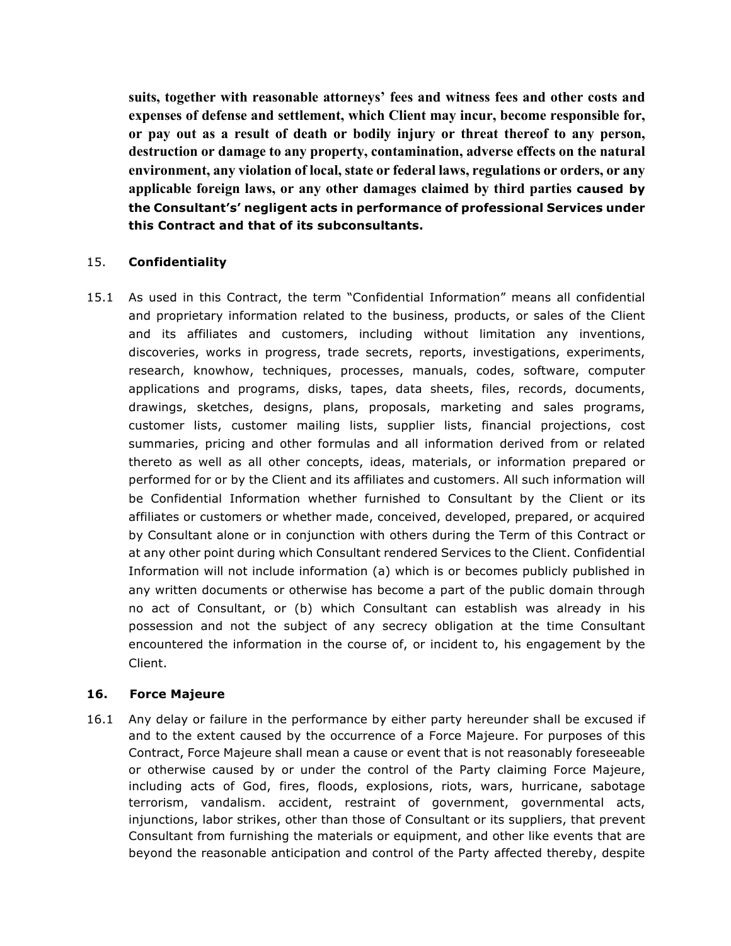**suits, together with reasonable attorneys' fees and witness fees and other costs and expenses of defense and settlement, which Client may incur, become responsible for, or pay out as a result of death or bodily injury or threat thereof to any person, destruction or damage to any property, contamination, adverse effects on the natural environment, any violation of local, state or federal laws, regulations or orders, or any applicable foreign laws, or any other damages claimed by third parties caused by the Consultant's' negligent acts in performance of professional Services under this Contract and that of its subconsultants.**

## 15. **Confidentiality**

15.1 As used in this Contract, the term "Confidential Information" means all confidential and proprietary information related to the business, products, or sales of the Client and its affiliates and customers, including without limitation any inventions, discoveries, works in progress, trade secrets, reports, investigations, experiments, research, knowhow, techniques, processes, manuals, codes, software, computer applications and programs, disks, tapes, data sheets, files, records, documents, drawings, sketches, designs, plans, proposals, marketing and sales programs, customer lists, customer mailing lists, supplier lists, financial projections, cost summaries, pricing and other formulas and all information derived from or related thereto as well as all other concepts, ideas, materials, or information prepared or performed for or by the Client and its affiliates and customers. All such information will be Confidential Information whether furnished to Consultant by the Client or its affiliates or customers or whether made, conceived, developed, prepared, or acquired by Consultant alone or in conjunction with others during the Term of this Contract or at any other point during which Consultant rendered Services to the Client. Confidential Information will not include information (a) which is or becomes publicly published in any written documents or otherwise has become a part of the public domain through no act of Consultant, or (b) which Consultant can establish was already in his possession and not the subject of any secrecy obligation at the time Consultant encountered the information in the course of, or incident to, his engagement by the Client.

## **16. Force Majeure**

16.1 Any delay or failure in the performance by either party hereunder shall be excused if and to the extent caused by the occurrence of a Force Majeure. For purposes of this Contract, Force Majeure shall mean a cause or event that is not reasonably foreseeable or otherwise caused by or under the control of the Party claiming Force Majeure, including acts of God, fires, floods, explosions, riots, wars, hurricane, sabotage terrorism, vandalism. accident, restraint of government, governmental acts, injunctions, labor strikes, other than those of Consultant or its suppliers, that prevent Consultant from furnishing the materials or equipment, and other like events that are beyond the reasonable anticipation and control of the Party affected thereby, despite